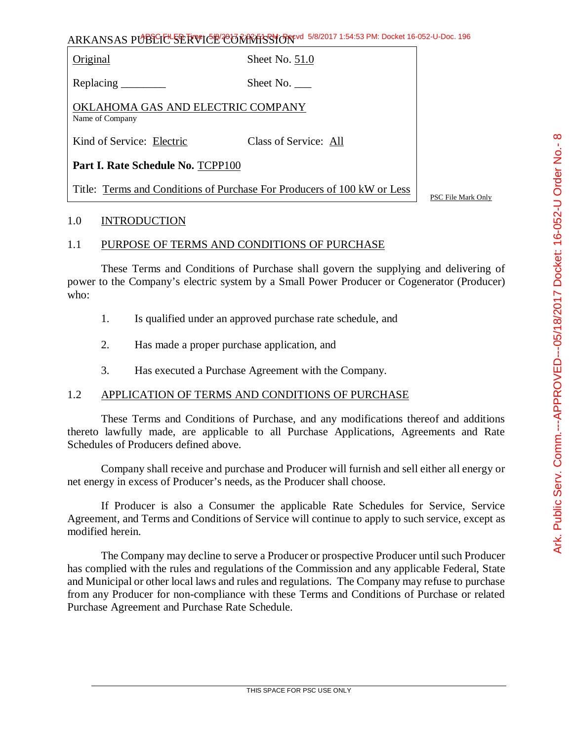Original Sheet No. 51.0

Replacing Sheet No.

OKLAHOMA GAS AND ELECTRIC COMPANY Name of Company

Kind of Service: Electric Class of Service: All

**Part I. Rate Schedule No.** TCPP100

Title: Terms and Conditions of Purchase For Producers of 100 kW or Less

PSC File Mark Only

### 1.0 INTRODUCTION

### 1.1 PURPOSE OF TERMS AND CONDITIONS OF PURCHASE

These Terms and Conditions of Purchase shall govern the supplying and delivering of power to the Company's electric system by a Small Power Producer or Cogenerator (Producer) who:

- 1. Is qualified under an approved purchase rate schedule, and
- 2. Has made a proper purchase application, and
- 3. Has executed a Purchase Agreement with the Company.

### 1.2 APPLICATION OF TERMS AND CONDITIONS OF PURCHASE

These Terms and Conditions of Purchase, and any modifications thereof and additions thereto lawfully made, are applicable to all Purchase Applications, Agreements and Rate Schedules of Producers defined above.

Company shall receive and purchase and Producer will furnish and sell either all energy or net energy in excess of Producer's needs, as the Producer shall choose.

If Producer is also a Consumer the applicable Rate Schedules for Service, Service Agreement, and Terms and Conditions of Service will continue to apply to such service, except as modified herein.

The Company may decline to serve a Producer or prospective Producer until such Producer has complied with the rules and regulations of the Commission and any applicable Federal, State and Municipal or other local laws and rules and regulations. The Company may refuse to purchase from any Producer for non-compliance with these Terms and Conditions of Purchase or related Purchase Agreement and Purchase Rate Schedule.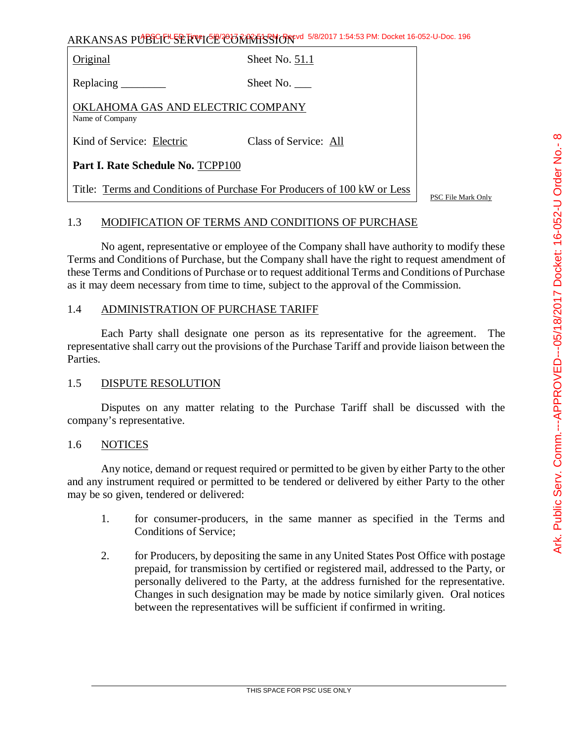Original Sheet No. 51.1

Replacing Sheet No.

OKLAHOMA GAS AND ELECTRIC COMPANY Name of Company

Kind of Service: Electric Class of Service: All

**Part I. Rate Schedule No.** TCPP100

Title: Terms and Conditions of Purchase For Producers of 100 kW or Less

PSC File Mark Only

# 1.3 MODIFICATION OF TERMS AND CONDITIONS OF PURCHASE

No agent, representative or employee of the Company shall have authority to modify these Terms and Conditions of Purchase, but the Company shall have the right to request amendment of these Terms and Conditions of Purchase or to request additional Terms and Conditions of Purchase as it may deem necessary from time to time, subject to the approval of the Commission.

### 1.4 ADMINISTRATION OF PURCHASE TARIFF

Each Party shall designate one person as its representative for the agreement. The representative shall carry out the provisions of the Purchase Tariff and provide liaison between the Parties.

### 1.5 DISPUTE RESOLUTION

Disputes on any matter relating to the Purchase Tariff shall be discussed with the company's representative.

#### 1.6 NOTICES

Any notice, demand or request required or permitted to be given by either Party to the other and any instrument required or permitted to be tendered or delivered by either Party to the other may be so given, tendered or delivered:

- 1. for consumer-producers, in the same manner as specified in the Terms and Conditions of Service;
- 2. for Producers, by depositing the same in any United States Post Office with postage prepaid, for transmission by certified or registered mail, addressed to the Party, or personally delivered to the Party, at the address furnished for the representative. Changes in such designation may be made by notice similarly given. Oral notices between the representatives will be sufficient if confirmed in writing.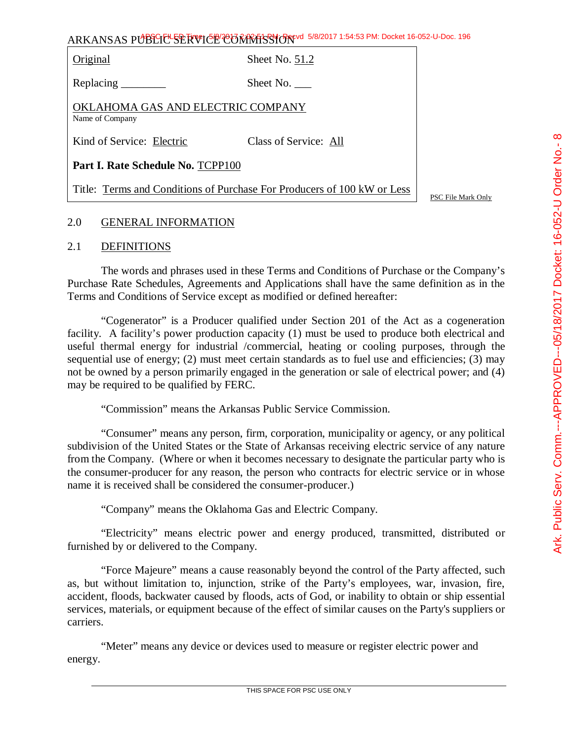Original Sheet No. 51.2

Replacing Sheet No.

OKLAHOMA GAS AND ELECTRIC COMPANY Name of Company

Kind of Service: Electric Class of Service: All

**Part I. Rate Schedule No.** TCPP100

Title: Terms and Conditions of Purchase For Producers of 100 kW or Less

PSC File Mark Only

## 2.0 GENERAL INFORMATION

### 2.1 DEFINITIONS

The words and phrases used in these Terms and Conditions of Purchase or the Company's Purchase Rate Schedules, Agreements and Applications shall have the same definition as in the Terms and Conditions of Service except as modified or defined hereafter:

"Cogenerator" is a Producer qualified under Section 201 of the Act as a cogeneration facility. A facility's power production capacity (1) must be used to produce both electrical and useful thermal energy for industrial /commercial, heating or cooling purposes, through the sequential use of energy; (2) must meet certain standards as to fuel use and efficiencies; (3) may not be owned by a person primarily engaged in the generation or sale of electrical power; and (4) may be required to be qualified by FERC.

"Commission" means the Arkansas Public Service Commission.

"Consumer" means any person, firm, corporation, municipality or agency, or any political subdivision of the United States or the State of Arkansas receiving electric service of any nature from the Company. (Where or when it becomes necessary to designate the particular party who is the consumer-producer for any reason, the person who contracts for electric service or in whose name it is received shall be considered the consumer-producer.)

"Company" means the Oklahoma Gas and Electric Company.

"Electricity" means electric power and energy produced, transmitted, distributed or furnished by or delivered to the Company.

"Force Majeure" means a cause reasonably beyond the control of the Party affected, such as, but without limitation to, injunction, strike of the Party's employees, war, invasion, fire, accident, floods, backwater caused by floods, acts of God, or inability to obtain or ship essential services, materials, or equipment because of the effect of similar causes on the Party's suppliers or carriers.

"Meter" means any device or devices used to measure or register electric power and energy.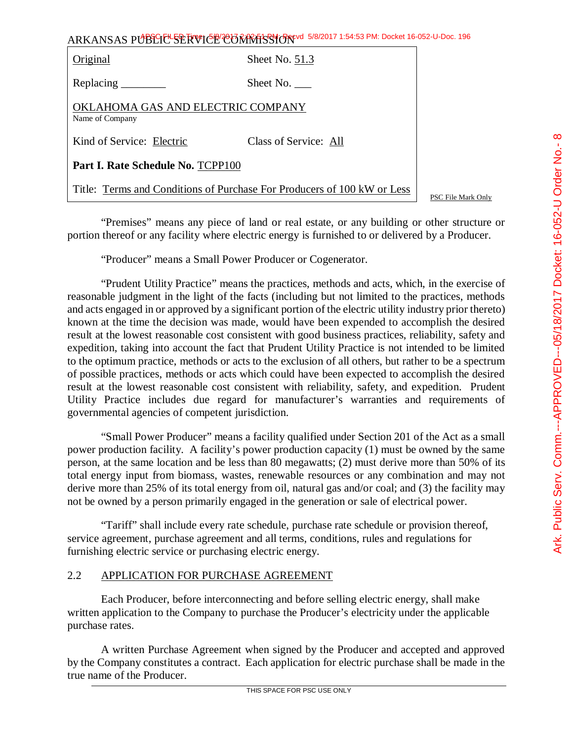File Mark Only

ARKANSAS PUBLIC SERVICE COMMISSION 5/8/2017 1:54:53 PM: Docket 16-052-U-Doc. 196

| Original                                                                | Sheet No. 51.3        |  |
|-------------------------------------------------------------------------|-----------------------|--|
| Replacing                                                               | Sheet No.             |  |
| OKLAHOMA GAS AND ELECTRIC COMPANY<br>Name of Company                    |                       |  |
| Kind of Service: Electric                                               | Class of Service: All |  |
| Part I. Rate Schedule No. TCPP100                                       |                       |  |
| Title: Terms and Conditions of Purchase For Producers of 100 kW or Less |                       |  |

"Premises" means any piece of land or real estate, or any building or other structure or portion thereof or any facility where electric energy is furnished to or delivered by a Producer.

"Producer" means a Small Power Producer or Cogenerator.

"Prudent Utility Practice" means the practices, methods and acts, which, in the exercise of reasonable judgment in the light of the facts (including but not limited to the practices, methods and acts engaged in or approved by a significant portion of the electric utility industry prior thereto) known at the time the decision was made, would have been expended to accomplish the desired result at the lowest reasonable cost consistent with good business practices, reliability, safety and expedition, taking into account the fact that Prudent Utility Practice is not intended to be limited to the optimum practice, methods or acts to the exclusion of all others, but rather to be a spectrum of possible practices, methods or acts which could have been expected to accomplish the desired result at the lowest reasonable cost consistent with reliability, safety, and expedition. Prudent Utility Practice includes due regard for manufacturer's warranties and requirements of governmental agencies of competent jurisdiction.

"Small Power Producer" means a facility qualified under Section 201 of the Act as a small power production facility. A facility's power production capacity (1) must be owned by the same person, at the same location and be less than 80 megawatts; (2) must derive more than 50% of its total energy input from biomass, wastes, renewable resources or any combination and may not derive more than 25% of its total energy from oil, natural gas and/or coal; and (3) the facility may not be owned by a person primarily engaged in the generation or sale of electrical power.

"Tariff" shall include every rate schedule, purchase rate schedule or provision thereof, service agreement, purchase agreement and all terms, conditions, rules and regulations for furnishing electric service or purchasing electric energy.

### 2.2 APPLICATION FOR PURCHASE AGREEMENT

Each Producer, before interconnecting and before selling electric energy, shall make written application to the Company to purchase the Producer's electricity under the applicable purchase rates.

A written Purchase Agreement when signed by the Producer and accepted and approved by the Company constitutes a contract. Each application for electric purchase shall be made in the true name of the Producer.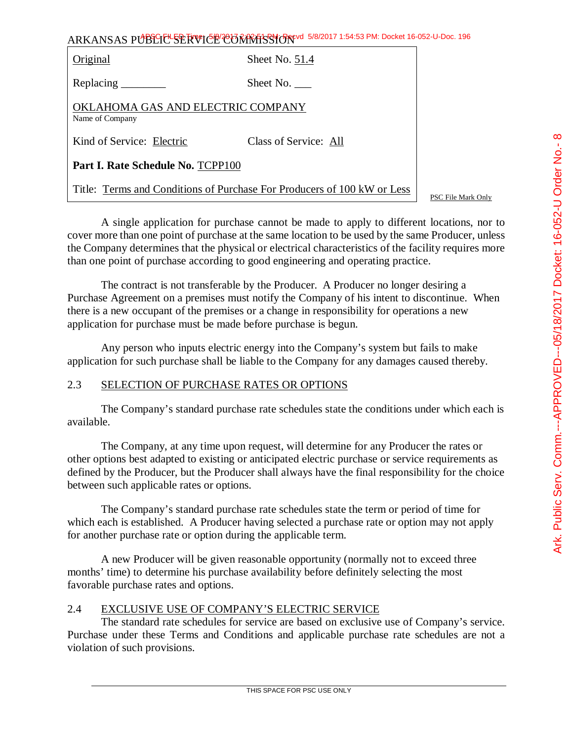| Original                                                                | Sheet No. 51.4        |  |
|-------------------------------------------------------------------------|-----------------------|--|
| Replacing $\frac{\ }{\ }$                                               | Sheet No. $\_\_$      |  |
| OKLAHOMA GAS AND ELECTRIC COMPANY<br>Name of Company                    |                       |  |
| Kind of Service: Electric                                               | Class of Service: All |  |
| Part I. Rate Schedule No. TCPP100                                       |                       |  |
| Title: Terms and Conditions of Purchase For Producers of 100 kW or Less |                       |  |

PSC File Mark Only

A single application for purchase cannot be made to apply to different locations, nor to cover more than one point of purchase at the same location to be used by the same Producer, unless the Company determines that the physical or electrical characteristics of the facility requires more than one point of purchase according to good engineering and operating practice.

The contract is not transferable by the Producer. A Producer no longer desiring a Purchase Agreement on a premises must notify the Company of his intent to discontinue. When there is a new occupant of the premises or a change in responsibility for operations a new application for purchase must be made before purchase is begun.

Any person who inputs electric energy into the Company's system but fails to make application for such purchase shall be liable to the Company for any damages caused thereby.

### 2.3 SELECTION OF PURCHASE RATES OR OPTIONS

The Company's standard purchase rate schedules state the conditions under which each is available.

The Company, at any time upon request, will determine for any Producer the rates or other options best adapted to existing or anticipated electric purchase or service requirements as defined by the Producer, but the Producer shall always have the final responsibility for the choice between such applicable rates or options.

The Company's standard purchase rate schedules state the term or period of time for which each is established. A Producer having selected a purchase rate or option may not apply for another purchase rate or option during the applicable term.

A new Producer will be given reasonable opportunity (normally not to exceed three months' time) to determine his purchase availability before definitely selecting the most favorable purchase rates and options.

### 2.4 EXCLUSIVE USE OF COMPANY'S ELECTRIC SERVICE

The standard rate schedules for service are based on exclusive use of Company's service. Purchase under these Terms and Conditions and applicable purchase rate schedules are not a violation of such provisions.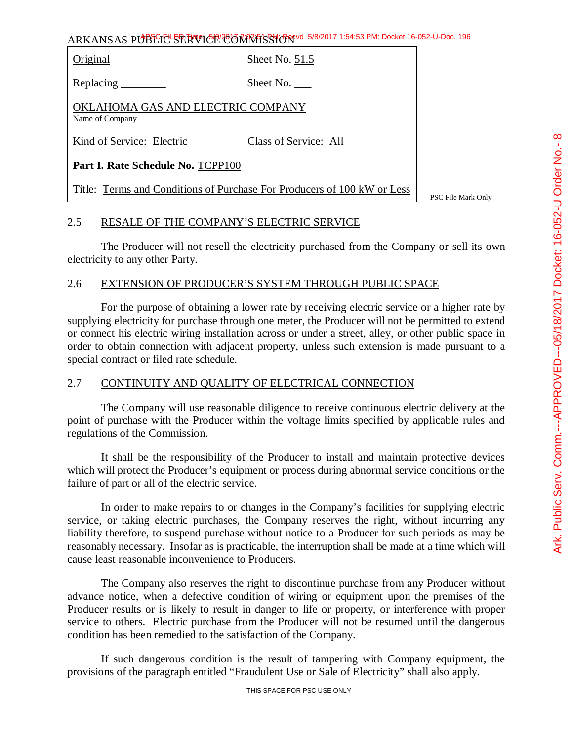Original Sheet No. 51.5

Replacing Sheet No.

OKLAHOMA GAS AND ELECTRIC COMPANY Name of Company

Kind of Service: Electric Class of Service: All

**Part I. Rate Schedule No.** TCPP100

Title: Terms and Conditions of Purchase For Producers of 100 kW or Less

PSC File Mark Only

### 2.5 RESALE OF THE COMPANY'S ELECTRIC SERVICE

The Producer will not resell the electricity purchased from the Company or sell its own electricity to any other Party.

## 2.6 EXTENSION OF PRODUCER'S SYSTEM THROUGH PUBLIC SPACE

For the purpose of obtaining a lower rate by receiving electric service or a higher rate by supplying electricity for purchase through one meter, the Producer will not be permitted to extend or connect his electric wiring installation across or under a street, alley, or other public space in order to obtain connection with adjacent property, unless such extension is made pursuant to a special contract or filed rate schedule.

# 2.7 CONTINUITY AND QUALITY OF ELECTRICAL CONNECTION

The Company will use reasonable diligence to receive continuous electric delivery at the point of purchase with the Producer within the voltage limits specified by applicable rules and regulations of the Commission.

It shall be the responsibility of the Producer to install and maintain protective devices which will protect the Producer's equipment or process during abnormal service conditions or the failure of part or all of the electric service.

In order to make repairs to or changes in the Company's facilities for supplying electric service, or taking electric purchases, the Company reserves the right, without incurring any liability therefore, to suspend purchase without notice to a Producer for such periods as may be reasonably necessary. Insofar as is practicable, the interruption shall be made at a time which will cause least reasonable inconvenience to Producers.

The Company also reserves the right to discontinue purchase from any Producer without advance notice, when a defective condition of wiring or equipment upon the premises of the Producer results or is likely to result in danger to life or property, or interference with proper service to others. Electric purchase from the Producer will not be resumed until the dangerous condition has been remedied to the satisfaction of the Company.

If such dangerous condition is the result of tampering with Company equipment, the provisions of the paragraph entitled "Fraudulent Use or Sale of Electricity" shall also apply.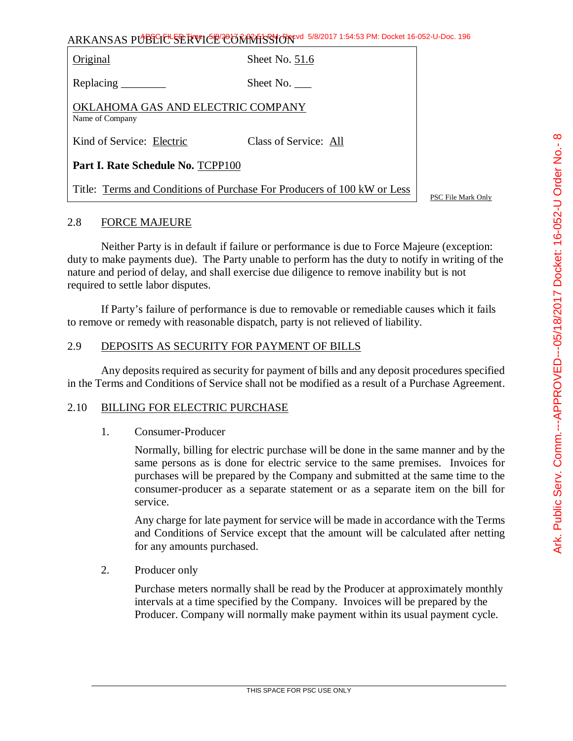$\infty$ 

ARKANSAS PUBLIC SERVICE COMMISSION 5/8/2017 1:54:53 PM: Docket 16-052-U-Doc. 196

Original Sheet No. 51.6

Replacing Sheet No.

OKLAHOMA GAS AND ELECTRIC COMPANY Name of Company

Kind of Service: Electric Class of Service: All

**Part I. Rate Schedule No.** TCPP100

Title: Terms and Conditions of Purchase For Producers of 100 kW or Less

PSC File Mark Only

### 2.8 FORCE MAJEURE

Neither Party is in default if failure or performance is due to Force Majeure (exception: duty to make payments due). The Party unable to perform has the duty to notify in writing of the nature and period of delay, and shall exercise due diligence to remove inability but is not required to settle labor disputes.

If Party's failure of performance is due to removable or remediable causes which it fails to remove or remedy with reasonable dispatch, party is not relieved of liability.

### 2.9 DEPOSITS AS SECURITY FOR PAYMENT OF BILLS

Any deposits required as security for payment of bills and any deposit procedures specified in the Terms and Conditions of Service shall not be modified as a result of a Purchase Agreement.

#### 2.10 BILLING FOR ELECTRIC PURCHASE

#### 1. Consumer-Producer

Normally, billing for electric purchase will be done in the same manner and by the same persons as is done for electric service to the same premises. Invoices for purchases will be prepared by the Company and submitted at the same time to the consumer-producer as a separate statement or as a separate item on the bill for service.

Any charge for late payment for service will be made in accordance with the Terms and Conditions of Service except that the amount will be calculated after netting for any amounts purchased.

2. Producer only

Purchase meters normally shall be read by the Producer at approximately monthly intervals at a time specified by the Company. Invoices will be prepared by the Producer. Company will normally make payment within its usual payment cycle.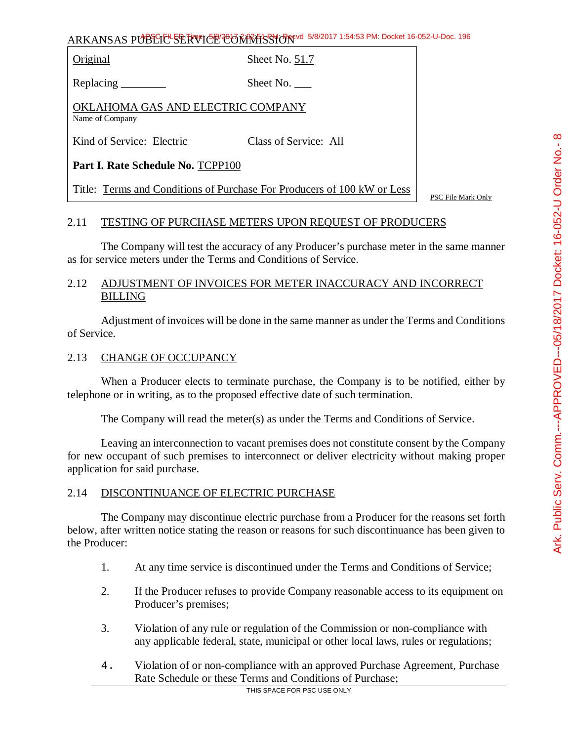Original Sheet No. 51.7

Replacing Sheet No.

OKLAHOMA GAS AND ELECTRIC COMPANY Name of Company

Kind of Service: Electric Class of Service: All

**Part I. Rate Schedule No.** TCPP100

Title: Terms and Conditions of Purchase For Producers of 100 kW or Less

PSC File Mark Only

# 2.11 TESTING OF PURCHASE METERS UPON REQUEST OF PRODUCERS

The Company will test the accuracy of any Producer's purchase meter in the same manner as for service meters under the Terms and Conditions of Service.

# 2.12 ADJUSTMENT OF INVOICES FOR METER INACCURACY AND INCORRECT **BILLING**

Adjustment of invoices will be done in the same manner as under the Terms and Conditions of Service.

# 2.13 CHANGE OF OCCUPANCY

When a Producer elects to terminate purchase, the Company is to be notified, either by telephone or in writing, as to the proposed effective date of such termination.

The Company will read the meter(s) as under the Terms and Conditions of Service.

Leaving an interconnection to vacant premises does not constitute consent by the Company for new occupant of such premises to interconnect or deliver electricity without making proper application for said purchase.

### 2.14 DISCONTINUANCE OF ELECTRIC PURCHASE

The Company may discontinue electric purchase from a Producer for the reasons set forth below, after written notice stating the reason or reasons for such discontinuance has been given to the Producer:

- 1. At any time service is discontinued under the Terms and Conditions of Service;
- 2. If the Producer refuses to provide Company reasonable access to its equipment on Producer's premises;
- 3. Violation of any rule or regulation of the Commission or non-compliance with any applicable federal, state, municipal or other local laws, rules or regulations;
- 4. Violation of or non-compliance with an approved Purchase Agreement, Purchase Rate Schedule or these Terms and Conditions of Purchase;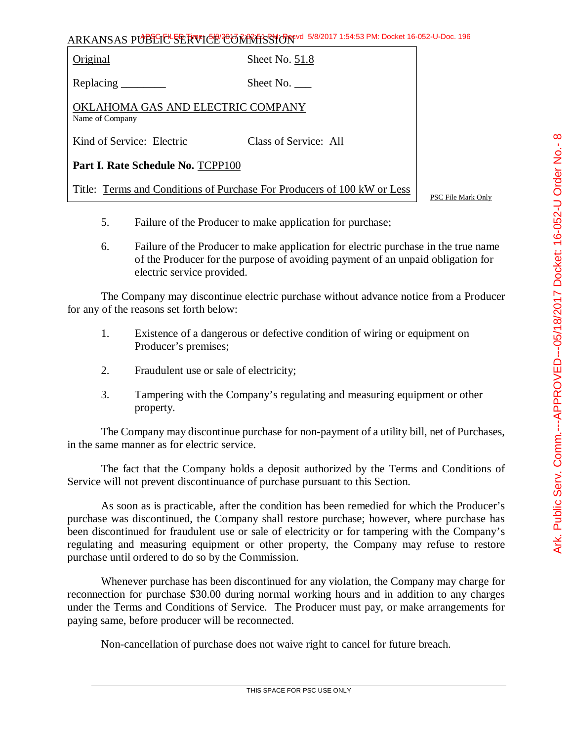Original Sheet No. 51.8

Replacing Sheet No.

OKLAHOMA GAS AND ELECTRIC COMPANY Name of Company

Kind of Service: Electric Class of Service: All

**Part I. Rate Schedule No.** TCPP100

Title: Terms and Conditions of Purchase For Producers of 100 kW or Less

PSC File Mark Only

- 5. Failure of the Producer to make application for purchase;
- 6. Failure of the Producer to make application for electric purchase in the true name of the Producer for the purpose of avoiding payment of an unpaid obligation for electric service provided.

The Company may discontinue electric purchase without advance notice from a Producer for any of the reasons set forth below:

- 1. Existence of a dangerous or defective condition of wiring or equipment on Producer's premises;
- 2. Fraudulent use or sale of electricity;
- 3. Tampering with the Company's regulating and measuring equipment or other property.

The Company may discontinue purchase for non-payment of a utility bill, net of Purchases, in the same manner as for electric service.

The fact that the Company holds a deposit authorized by the Terms and Conditions of Service will not prevent discontinuance of purchase pursuant to this Section.

As soon as is practicable, after the condition has been remedied for which the Producer's purchase was discontinued, the Company shall restore purchase; however, where purchase has been discontinued for fraudulent use or sale of electricity or for tampering with the Company's regulating and measuring equipment or other property, the Company may refuse to restore purchase until ordered to do so by the Commission.

Whenever purchase has been discontinued for any violation, the Company may charge for reconnection for purchase \$30.00 during normal working hours and in addition to any charges under the Terms and Conditions of Service. The Producer must pay, or make arrangements for paying same, before producer will be reconnected.

Non-cancellation of purchase does not waive right to cancel for future breach.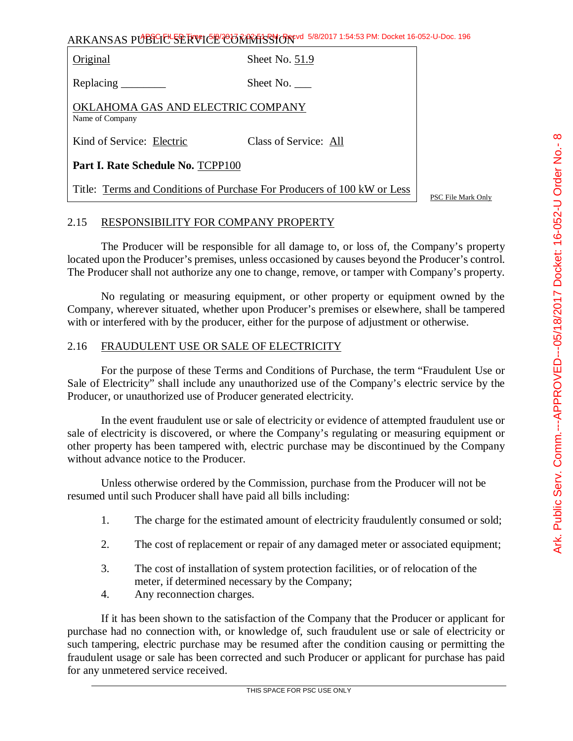Original Sheet No. 51.9

Replacing Sheet No.

OKLAHOMA GAS AND ELECTRIC COMPANY Name of Company

Kind of Service: Electric Class of Service: All

**Part I. Rate Schedule No.** TCPP100

Title: Terms and Conditions of Purchase For Producers of 100 kW or Less

PSC File Mark Only

## 2.15 RESPONSIBILITY FOR COMPANY PROPERTY

The Producer will be responsible for all damage to, or loss of, the Company's property located upon the Producer's premises, unless occasioned by causes beyond the Producer's control. The Producer shall not authorize any one to change, remove, or tamper with Company's property.

No regulating or measuring equipment, or other property or equipment owned by the Company, wherever situated, whether upon Producer's premises or elsewhere, shall be tampered with or interfered with by the producer, either for the purpose of adjustment or otherwise.

## 2.16 FRAUDULENT USE OR SALE OF ELECTRICITY

For the purpose of these Terms and Conditions of Purchase, the term "Fraudulent Use or Sale of Electricity" shall include any unauthorized use of the Company's electric service by the Producer, or unauthorized use of Producer generated electricity.

In the event fraudulent use or sale of electricity or evidence of attempted fraudulent use or sale of electricity is discovered, or where the Company's regulating or measuring equipment or other property has been tampered with, electric purchase may be discontinued by the Company without advance notice to the Producer.

Unless otherwise ordered by the Commission, purchase from the Producer will not be resumed until such Producer shall have paid all bills including:

- 1. The charge for the estimated amount of electricity fraudulently consumed or sold;
- 2. The cost of replacement or repair of any damaged meter or associated equipment;
- 3. The cost of installation of system protection facilities, or of relocation of the meter, if determined necessary by the Company;
- 4. Any reconnection charges.

If it has been shown to the satisfaction of the Company that the Producer or applicant for purchase had no connection with, or knowledge of, such fraudulent use or sale of electricity or such tampering, electric purchase may be resumed after the condition causing or permitting the fraudulent usage or sale has been corrected and such Producer or applicant for purchase has paid for any unmetered service received.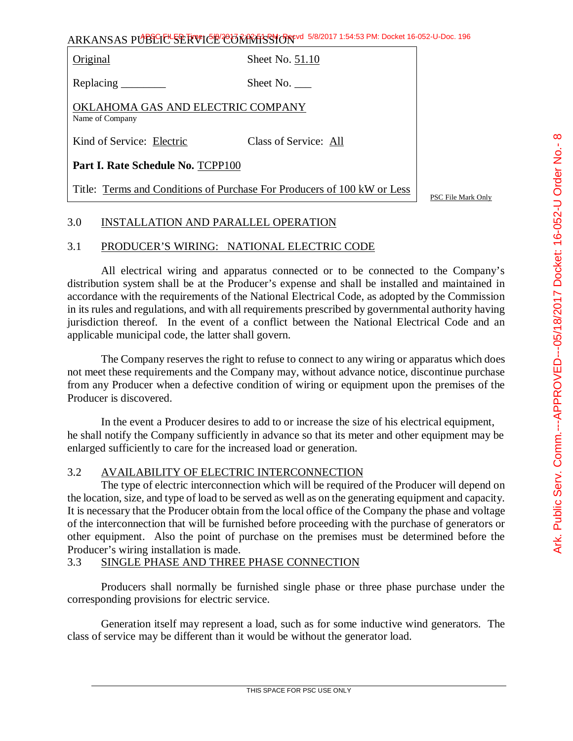Original Sheet No. 51.10

Replacing Sheet No.

OKLAHOMA GAS AND ELECTRIC COMPANY Name of Company

Kind of Service: Electric Class of Service: All

**Part I. Rate Schedule No.** TCPP100

Title: Terms and Conditions of Purchase For Producers of 100 kW or Less

PSC File Mark Only

# 3.0 INSTALLATION AND PARALLEL OPERATION

# 3.1 PRODUCER'S WIRING: NATIONAL ELECTRIC CODE

All electrical wiring and apparatus connected or to be connected to the Company's distribution system shall be at the Producer's expense and shall be installed and maintained in accordance with the requirements of the National Electrical Code, as adopted by the Commission in its rules and regulations, and with all requirements prescribed by governmental authority having jurisdiction thereof. In the event of a conflict between the National Electrical Code and an applicable municipal code, the latter shall govern.

The Company reserves the right to refuse to connect to any wiring or apparatus which does not meet these requirements and the Company may, without advance notice, discontinue purchase from any Producer when a defective condition of wiring or equipment upon the premises of the Producer is discovered.

In the event a Producer desires to add to or increase the size of his electrical equipment, he shall notify the Company sufficiently in advance so that its meter and other equipment may be enlarged sufficiently to care for the increased load or generation.

# 3.2 AVAILABILITY OF ELECTRIC INTERCONNECTION

The type of electric interconnection which will be required of the Producer will depend on the location, size, and type of load to be served as well as on the generating equipment and capacity. It is necessary that the Producer obtain from the local office of the Company the phase and voltage of the interconnection that will be furnished before proceeding with the purchase of generators or other equipment. Also the point of purchase on the premises must be determined before the Producer's wiring installation is made.

### 3.3 SINGLE PHASE AND THREE PHASE CONNECTION

Producers shall normally be furnished single phase or three phase purchase under the corresponding provisions for electric service.

Generation itself may represent a load, such as for some inductive wind generators. The class of service may be different than it would be without the generator load.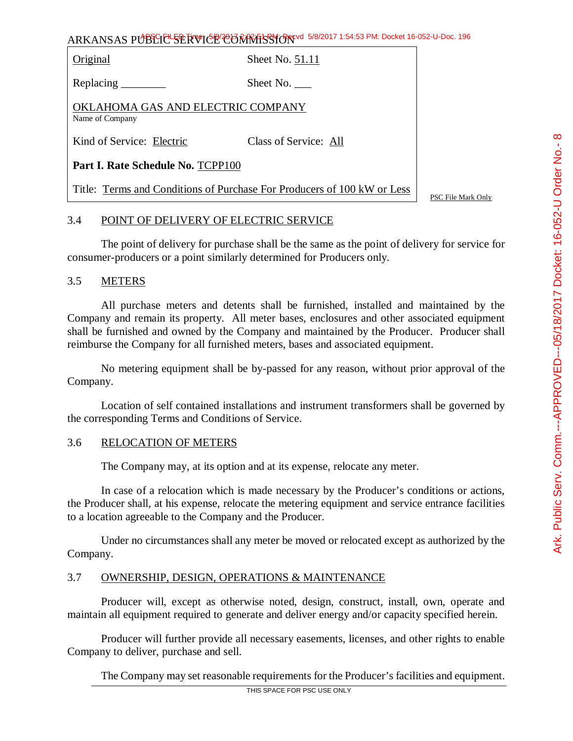Original Sheet No. 51.11

Replacing Sheet No.

OKLAHOMA GAS AND ELECTRIC COMPANY Name of Company

Kind of Service: Electric Class of Service: All

**Part I. Rate Schedule No.** TCPP100

Title: Terms and Conditions of Purchase For Producers of 100 kW or Less

PSC File Mark Only

### 3.4 POINT OF DELIVERY OF ELECTRIC SERVICE

The point of delivery for purchase shall be the same as the point of delivery for service for consumer-producers or a point similarly determined for Producers only.

### 3.5 METERS

All purchase meters and detents shall be furnished, installed and maintained by the Company and remain its property. All meter bases, enclosures and other associated equipment shall be furnished and owned by the Company and maintained by the Producer. Producer shall reimburse the Company for all furnished meters, bases and associated equipment.

No metering equipment shall be by-passed for any reason, without prior approval of the Company.

Location of self contained installations and instrument transformers shall be governed by the corresponding Terms and Conditions of Service.

### 3.6 RELOCATION OF METERS

The Company may, at its option and at its expense, relocate any meter.

In case of a relocation which is made necessary by the Producer's conditions or actions, the Producer shall, at his expense, relocate the metering equipment and service entrance facilities to a location agreeable to the Company and the Producer.

Under no circumstances shall any meter be moved or relocated except as authorized by the Company.

### 3.7 OWNERSHIP, DESIGN, OPERATIONS & MAINTENANCE

Producer will, except as otherwise noted, design, construct, install, own, operate and maintain all equipment required to generate and deliver energy and/or capacity specified herein.

Producer will further provide all necessary easements, licenses, and other rights to enable Company to deliver, purchase and sell.

The Company may set reasonable requirements for the Producer's facilities and equipment.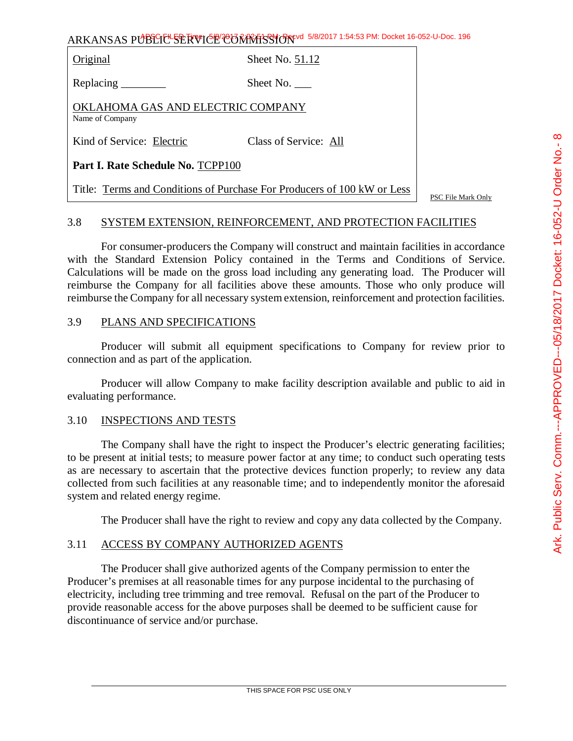Original Sheet No. 51.12

Replacing Sheet No.

OKLAHOMA GAS AND ELECTRIC COMPANY Name of Company

Kind of Service: Electric Class of Service: All

**Part I. Rate Schedule No.** TCPP100

Title: Terms and Conditions of Purchase For Producers of 100 kW or Less

PSC File Mark Only

### 3.8 SYSTEM EXTENSION, REINFORCEMENT, AND PROTECTION FACILITIES

For consumer-producers the Company will construct and maintain facilities in accordance with the Standard Extension Policy contained in the Terms and Conditions of Service. Calculations will be made on the gross load including any generating load. The Producer will reimburse the Company for all facilities above these amounts. Those who only produce will reimburse the Company for all necessary system extension, reinforcement and protection facilities.

## 3.9 PLANS AND SPECIFICATIONS

Producer will submit all equipment specifications to Company for review prior to connection and as part of the application.

Producer will allow Company to make facility description available and public to aid in evaluating performance.

### 3.10 INSPECTIONS AND TESTS

The Company shall have the right to inspect the Producer's electric generating facilities; to be present at initial tests; to measure power factor at any time; to conduct such operating tests as are necessary to ascertain that the protective devices function properly; to review any data collected from such facilities at any reasonable time; and to independently monitor the aforesaid system and related energy regime.

The Producer shall have the right to review and copy any data collected by the Company.

### 3.11 ACCESS BY COMPANY AUTHORIZED AGENTS

The Producer shall give authorized agents of the Company permission to enter the Producer's premises at all reasonable times for any purpose incidental to the purchasing of electricity, including tree trimming and tree removal. Refusal on the part of the Producer to provide reasonable access for the above purposes shall be deemed to be sufficient cause for discontinuance of service and/or purchase.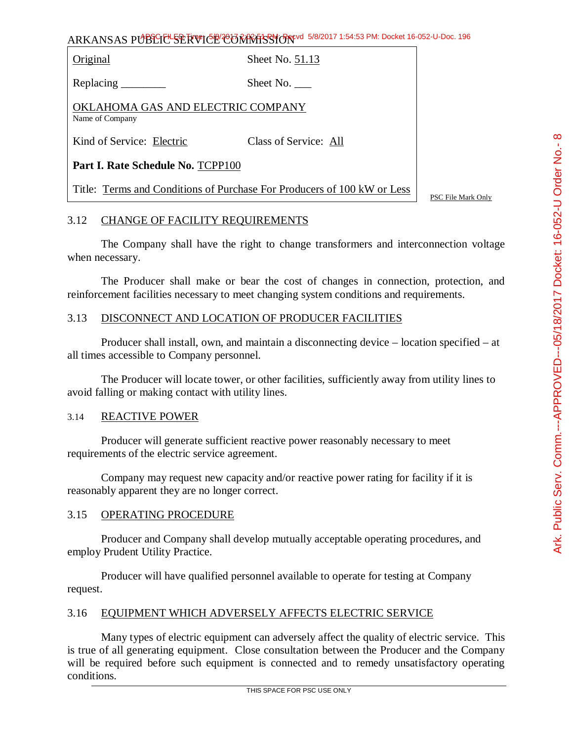Original Sheet No. 51.13

Replacing Sheet No.

OKLAHOMA GAS AND ELECTRIC COMPANY Name of Company

Kind of Service: Electric Class of Service: All

**Part I. Rate Schedule No.** TCPP100

Title: Terms and Conditions of Purchase For Producers of 100 kW or Less

PSC File Mark Only

### 3.12 CHANGE OF FACILITY REQUIREMENTS

The Company shall have the right to change transformers and interconnection voltage when necessary.

The Producer shall make or bear the cost of changes in connection, protection, and reinforcement facilities necessary to meet changing system conditions and requirements.

### 3.13 DISCONNECT AND LOCATION OF PRODUCER FACILITIES

Producer shall install, own, and maintain a disconnecting device – location specified – at all times accessible to Company personnel.

The Producer will locate tower, or other facilities, sufficiently away from utility lines to avoid falling or making contact with utility lines.

### 3.14 REACTIVE POWER

Producer will generate sufficient reactive power reasonably necessary to meet requirements of the electric service agreement.

Company may request new capacity and/or reactive power rating for facility if it is reasonably apparent they are no longer correct.

#### 3.15 OPERATING PROCEDURE

Producer and Company shall develop mutually acceptable operating procedures, and employ Prudent Utility Practice.

Producer will have qualified personnel available to operate for testing at Company request.

### 3.16 EQUIPMENT WHICH ADVERSELY AFFECTS ELECTRIC SERVICE

Many types of electric equipment can adversely affect the quality of electric service. This is true of all generating equipment. Close consultation between the Producer and the Company will be required before such equipment is connected and to remedy unsatisfactory operating conditions.